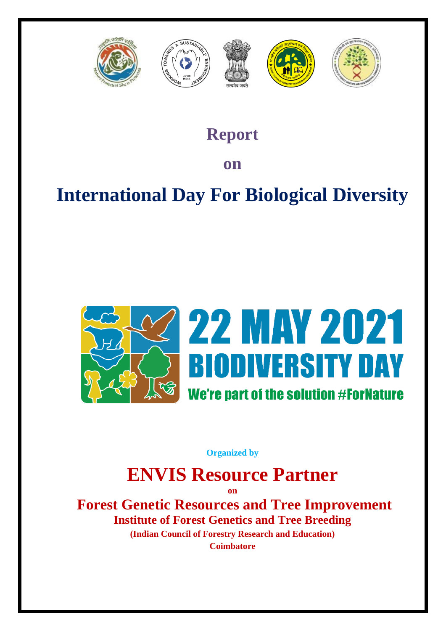

### **Report**

### **on**

# **International Day For Biological Diversity**



**Organized by**

## **ENVIS Resource Partner**

**on**

**Forest Genetic Resources and Tree Improvement Institute of Forest Genetics and Tree Breeding (Indian Council of Forestry Research and Education) Coimbatore**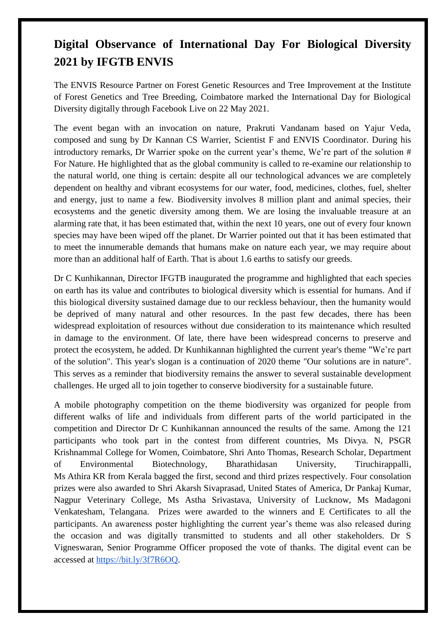#### **Digital Observance of International Day For Biological Diversity 2021 by IFGTB ENVIS**

The ENVIS Resource Partner on Forest Genetic Resources and Tree Improvement at the Institute of Forest Genetics and Tree Breeding, Coimbatore marked the International Day for Biological Diversity digitally through Facebook Live on 22 May 2021.

The event began with an invocation on nature, Prakruti Vandanam based on Yajur Veda, composed and sung by Dr Kannan CS Warrier, Scientist F and ENVIS Coordinator. During his introductory remarks, Dr Warrier spoke on the current year's theme, We're part of the solution # For Nature. He highlighted that as the global community is called to re-examine our relationship to the natural world, one thing is certain: despite all our technological advances we are completely dependent on healthy and vibrant ecosystems for our water, food, medicines, clothes, fuel, shelter and energy, just to name a few. Biodiversity involves 8 million plant and animal species, their ecosystems and the genetic diversity among them. We are losing the invaluable treasure at an alarming rate that, it has been estimated that, within the next 10 years, one out of every four known species may have been wiped off the planet. Dr Warrier pointed out that it has been estimated that to meet the innumerable demands that humans make on nature each year, we may require about more than an additional half of Earth. That is about 1.6 earths to satisfy our greeds.

Dr C Kunhikannan, Director IFGTB inaugurated the programme and highlighted that each species on earth has its value and contributes to biological diversity which is essential for humans. And if this biological diversity sustained damage due to our reckless behaviour, then the humanity would be deprived of many natural and other resources. In the past few decades, there has been widespread exploitation of resources without due consideration to its maintenance which resulted in damage to the environment. Of late, there have been widespread concerns to preserve and protect the ecosystem, he added. Dr Kunhikannan highlighted the current year's theme "We're part of the solution". This year's slogan is a continuation of 2020 theme "Our solutions are in nature". This serves as a reminder that biodiversity remains the answer to several sustainable development challenges. He urged all to join together to conserve biodiversity for a sustainable future.

A mobile photography competition on the theme biodiversity was organized for people from different walks of life and individuals from different parts of the world participated in the competition and Director Dr C Kunhikannan announced the results of the same. Among the 121 participants who took part in the contest from different countries, Ms Divya. N, PSGR Krishnammal College for Women, Coimbatore, Shri Anto Thomas, Research Scholar, Department of Environmental Biotechnology, Bharathidasan University, Tiruchirappalli, Ms Athira KR from Kerala bagged the first, second and third prizes respectively. Four consolation prizes were also awarded to Shri Akarsh Sivaprasad, United States of America, Dr Pankaj Kumar, Nagpur Veterinary College, Ms Astha Srivastava, University of Lucknow, Ms Madagoni Venkatesham, Telangana. Prizes were awarded to the winners and E Certificates to all the participants. An awareness poster highlighting the current year's theme was also released during the occasion and was digitally transmitted to students and all other stakeholders. Dr S Vigneswaran, Senior Programme Officer proposed the vote of thanks. The digital event can be accessed at [https://bit.ly/3f7R6OQ.](https://bit.ly/3f7R6OQ)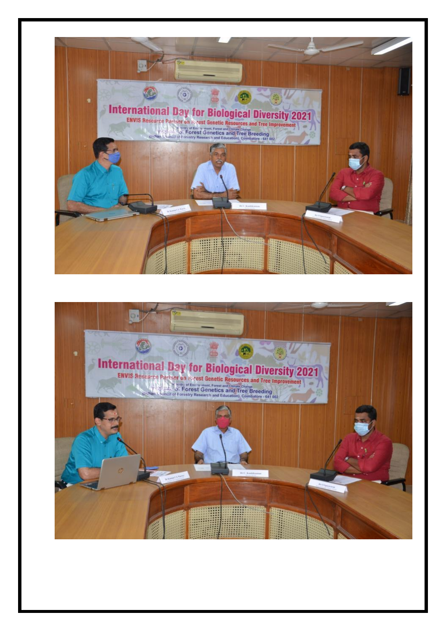

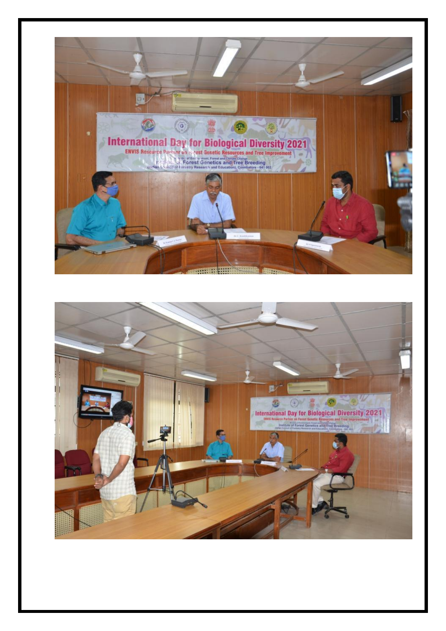

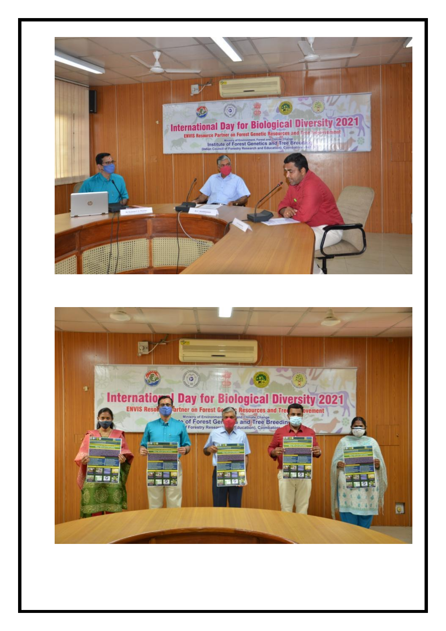